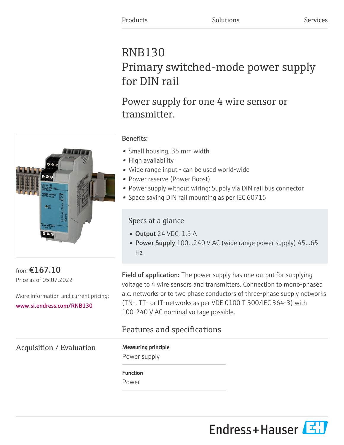# RNB130 Primary switched-mode power supply for DIN rail

Power supply for one 4 wire sensor or transmitter.

### Benefits:

- Small housing, 35 mm width
- High availability
- Wide range input can be used world-wide
- Power reserve (Power Boost)
- Power supply without wiring: Supply via DIN rail bus connector
- Space saving DIN rail mounting as per IEC 60715

## Specs at a glance

- Output 24 VDC, 1,5 A
- Power Supply 100...240 V AC (wide range power supply) 45...65 Hz

from €167.10 Price as of 05.07.2022

More information and current pricing: [www.si.endress.com/RNB130](https://www.si.endress.com/RNB130)

Field of application: The power supply has one output for supplying voltage to 4 wire sensors and transmitters. Connection to mono-phased a.c. networks or to two phase conductors of three-phase supply networks (TN-, TT- or IT-networks as per VDE 0100 T 300/IEC 364-3) with 100-240 V AC nominal voltage possible.

## Features and specifications

Acquisition / Evaluation Measuring principle

Power supply

## Function

Power



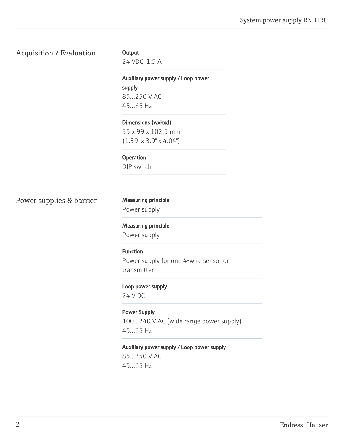#### Acquisition / Evaluation Output

24 VDC, 1,5 A

Auxiliary power supply / Loop power supply 85...250 V AC 45...65 Hz

Dimensions (wxhxd) 35 x 99 x 102.5 mm (1.39" x 3.9" x 4.04")

Operation

DIP switch

Power supplies & barrier Measuring principle

Power supply

Measuring principle Power supply

Function Power supply for one 4-wire sensor or transmitter

Loop power supply

24 V DC

Power Supply 100…240 V AC (wide range power supply) 45...65 Hz

Auxiliary power supply / Loop power supply

85...250 V AC 45...65 Hz